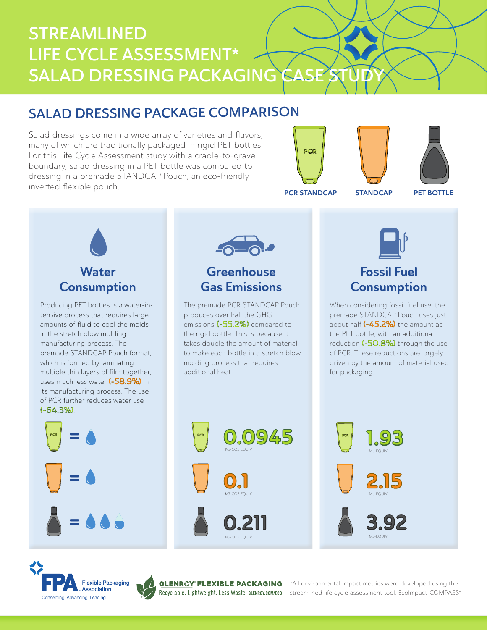# STREAMLINED LIFE CYCLE ASSESSMENT\* SALAD DRESSING PACKAGING CASE

## SALAD DRESSING PACKAGE COMPARISON

Salad dressings come in a wide array of varieties and flavors, many of which are traditionally packaged in rigid PET bottles. For this Life Cycle Assessment study with a cradle-to-grave boundary, salad dressing in a PET bottle was compared to dressing in a premade STANDCAP Pouch, an eco-friendly inverted flexible pouch.





PCR STANDCAP STANDCAP

PET BOTTLE



Producing PET bottles is a water-intensive process that requires large amounts of fluid to cool the molds in the stretch blow molding manufacturing process. The premade STANDCAP Pouch format, which is formed by laminating multiple thin layers of film together, uses much less water (-58.9%) in its manufacturing process. The use of PCR further reduces water use (-64.3%).







®

\*All environmental impact metrics were developed using the streamlined life cycle assessment tool, EcoImpact-COMPASS®

MJ-EQUIV



## Fossil Fuel **Consumption**

When considering fossil fuel use, the premade STANDCAP Pouch uses just about half (-45.2%) the amount as the PET bottle, with an additional reduction (-50.8%) through the use of PCR. These reductions are largely driven by the amount of material used for packaging.



The premade PCR STANDCAP Pouch

**Greenhouse** Gas Emissions

produces over half the GHG emissions (-55.2%) compared to the rigid bottle. This is because it takes double the amount of material to make each bottle in a stretch blow molding process that requires

additional heat.